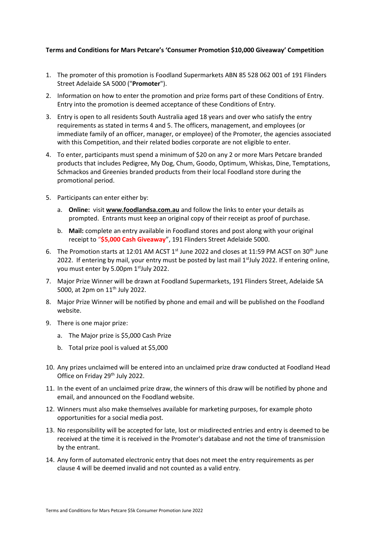## **Terms and Conditions for Mars Petcare's 'Consumer Promotion \$10,000 Giveaway' Competition**

- 1. The promoter of this promotion is Foodland Supermarkets ABN 85 528 062 001 of 191 Flinders Street Adelaide SA 5000 ("**Promoter**").
- 2. Information on how to enter the promotion and prize forms part of these Conditions of Entry. Entry into the promotion is deemed acceptance of these Conditions of Entry.
- 3. Entry is open to all residents South Australia aged 18 years and over who satisfy the entry requirements as stated in terms 4 and 5. The officers, management, and employees (or immediate family of an officer, manager, or employee) of the Promoter, the agencies associated with this Competition, and their related bodies corporate are not eligible to enter.
- 4. To enter, participants must spend a minimum of \$20 on any 2 or more Mars Petcare branded products that includes Pedigree, My Dog, Chum, Goodo, Optimum, Whiskas, Dine, Temptations, Schmackos and Greenies branded products from their local Foodland store during the promotional period.
- 5. Participants can enter either by:
	- a. **Online:** visit **[www.foodlandsa.com.au](http://www.foodlandsa.com.au/)** and follow the links to enter your details as prompted. Entrants must keep an original copy of their receipt as proof of purchase.
	- b. **Mail:** complete an entry available in Foodland stores and post along with your original receipt to "**\$5,000 Cash Giveaway**", 191 Flinders Street Adelaide 5000.
- 6. The Promotion starts at 12:01 AM ACST  $1^{\text{st}}$  June 2022 and closes at 11:59 PM ACST on 30<sup>th</sup> June 2022. If entering by mail, your entry must be posted by last mail 1<sup>st</sup>July 2022. If entering online, you must enter by 5.00pm 1<sup>st</sup>July 2022.
- 7. Major Prize Winner will be drawn at Foodland Supermarkets, 191 Flinders Street, Adelaide SA 5000, at 2pm on 11<sup>th</sup> July 2022.
- 8. Major Prize Winner will be notified by phone and email and will be published on the Foodland website.
- 9. There is one major prize:
	- a. The Major prize is \$5,000 Cash Prize
	- b. Total prize pool is valued at \$5,000
- 10. Any prizes unclaimed will be entered into an unclaimed prize draw conducted at Foodland Head Office on Friday 29<sup>th</sup> July 2022.
- 11. In the event of an unclaimed prize draw, the winners of this draw will be notified by phone and email, and announced on the Foodland website.
- 12. Winners must also make themselves available for marketing purposes, for example photo opportunities for a social media post.
- 13. No responsibility will be accepted for late, lost or misdirected entries and entry is deemed to be received at the time it is received in the Promoter's database and not the time of transmission by the entrant.
- 14. Any form of automated electronic entry that does not meet the entry requirements as per clause 4 will be deemed invalid and not counted as a valid entry.